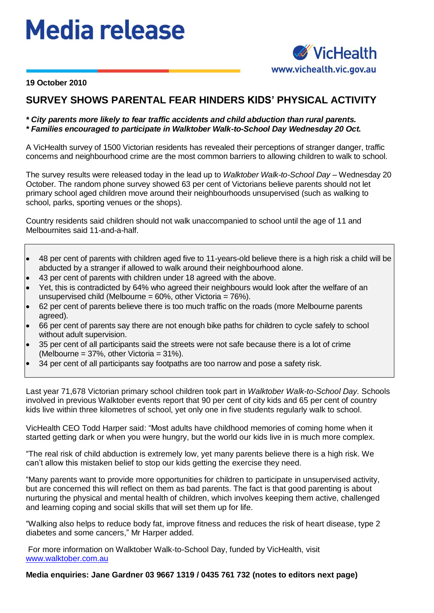## **Media release**



**19 October 2010**

## **SURVEY SHOWS PARENTAL FEAR HINDERS KIDS' PHYSICAL ACTIVITY**

## *\* City parents more likely to fear traffic accidents and child abduction than rural parents. \* Families encouraged to participate in Walktober Walk-to-School Day Wednesday 20 Oct.*

A VicHealth survey of 1500 Victorian residents has revealed their perceptions of stranger danger, traffic concerns and neighbourhood crime are the most common barriers to allowing children to walk to school.

The survey results were released today in the lead up to *Walktober Walk-to-School Day* – Wednesday 20 October. The random phone survey showed 63 per cent of Victorians believe parents should not let primary school aged children move around their neighbourhoods unsupervised (such as walking to school, parks, sporting venues or the shops).

Country residents said children should not walk unaccompanied to school until the age of 11 and Melbournites said 11-and-a-half.

- 48 per cent of parents with children aged five to 11-years-old believe there is a high risk a child will be  $\bullet$ abducted by a stranger if allowed to walk around their neighbourhood alone.
- 43 per cent of parents with children under 18 agreed with the above.
- Yet, this is contradicted by 64% who agreed their neighbours would look after the welfare of an unsupervised child (Melbourne =  $60\%$ , other Victoria =  $76\%$ ).
- 62 per cent of parents believe there is too much traffic on the roads (more Melbourne parents agreed).
- 66 per cent of parents say there are not enough bike paths for children to cycle safely to school without adult supervision.
- 35 per cent of all participants said the streets were not safe because there is a lot of crime (Melbourne = 37%, other Victoria = 31%).
- 34 per cent of all participants say footpaths are too narrow and pose a safety risk.

Last year 71,678 Victorian primary school children took part in *Walktober Walk-to-School Day.* Schools involved in previous Walktober events report that 90 per cent of city kids and 65 per cent of country kids live within three kilometres of school, yet only one in five students regularly walk to school.

VicHealth CEO Todd Harper said: "Most adults have childhood memories of coming home when it started getting dark or when you were hungry, but the world our kids live in is much more complex.

"The real risk of child abduction is extremely low, yet many parents believe there is a high risk. We can't allow this mistaken belief to stop our kids getting the exercise they need.

"Many parents want to provide more opportunities for children to participate in unsupervised activity, but are concerned this will reflect on them as bad parents. The fact is that good parenting is about nurturing the physical and mental health of children, which involves keeping them active, challenged and learning coping and social skills that will set them up for life.

"Walking also helps to reduce body fat, improve fitness and reduces the risk of heart disease, type 2 diabetes and some cancers," Mr Harper added.

For more information on Walktober Walk-to-School Day, funded by VicHealth, visit [www.walktober.com.au](http://www.walktober.com.au/)

**Media enquiries: Jane Gardner 03 9667 1319 / 0435 761 732 (notes to editors next page)**